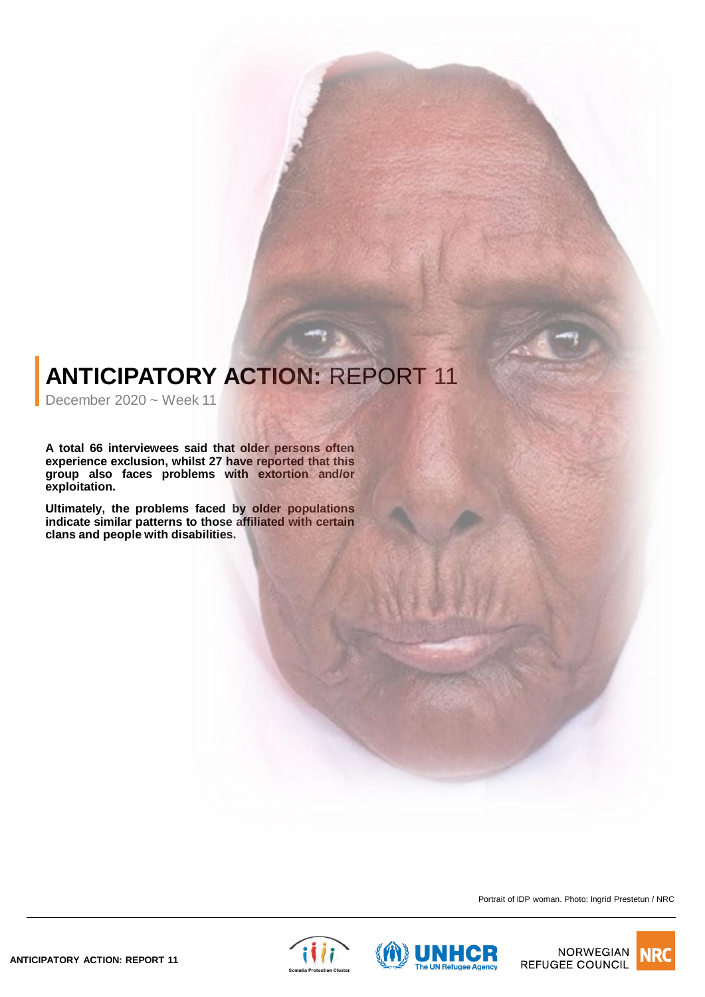## **ANTICIPATORY ACTION: REPORT 11**

December 2020 ~ Week 11

**A total 66 interviewees said that older persons often experience exclusion, whilst 27 have reported that this group also faces problems with extortion and/or exploitation.**

**Ultimately, the problems faced by older populations indicate similar patterns to those affiliated with certain clans and people with disabilities.**

Portrait of IDP woman. Photo: Ingrid Prestetun / NRC